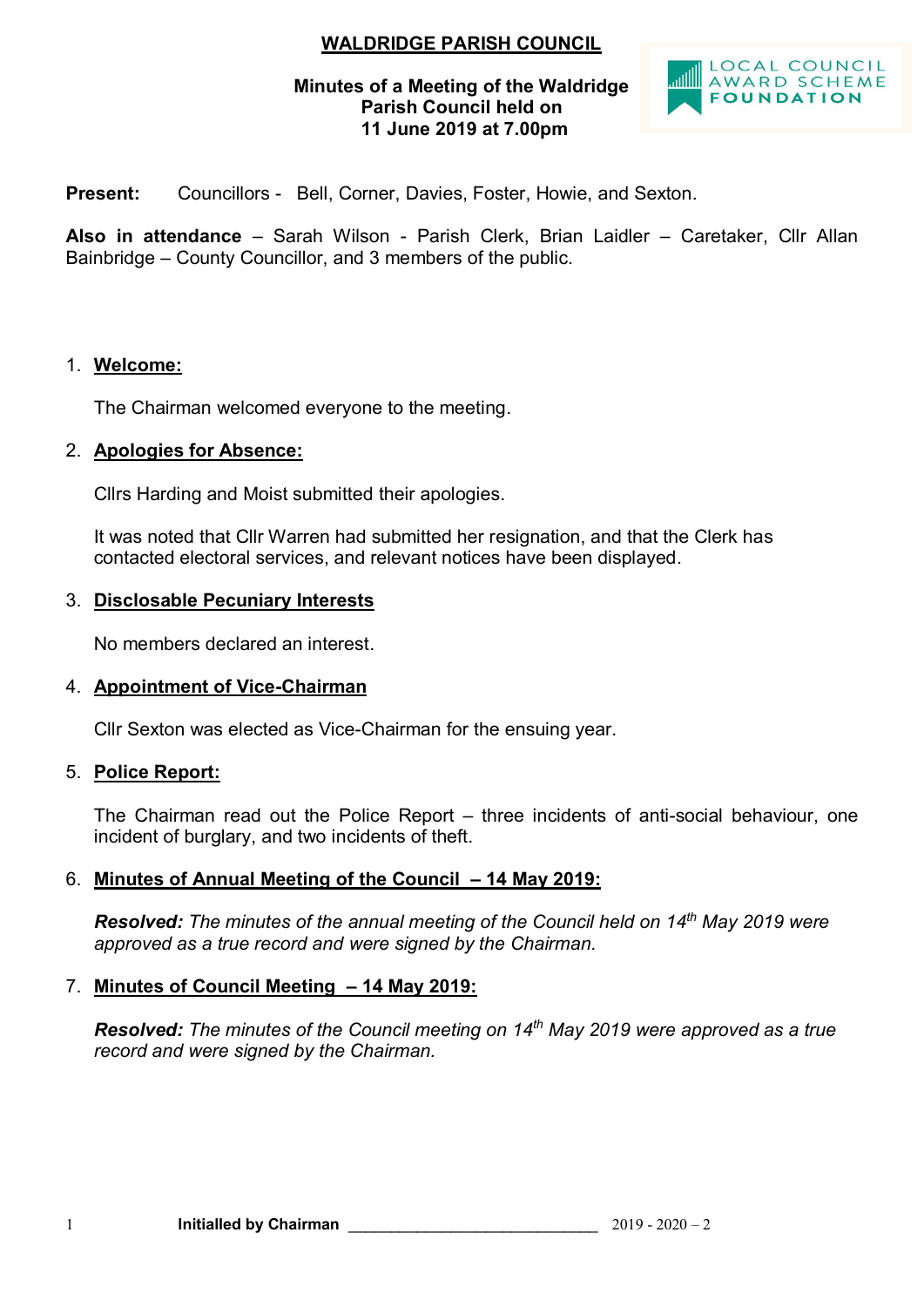# **WALDRIDGE PARISH COUNCIL**

#### **Minutes of a Meeting of the Waldridge Parish Council held on 11 June 2019 at 7.00pm**



**Present:** Councillors - Bell, Corner, Davies, Foster, Howie, and Sexton.

**Also in attendance** – Sarah Wilson - Parish Clerk, Brian Laidler – Caretaker, Cllr Allan Bainbridge – County Councillor, and 3 members of the public.

## 1. **Welcome:**

The Chairman welcomed everyone to the meeting.

#### 2. **Apologies for Absence:**

Cllrs Harding and Moist submitted their apologies.

It was noted that Cllr Warren had submitted her resignation, and that the Clerk has contacted electoral services, and relevant notices have been displayed.

#### 3. **Disclosable Pecuniary Interests**

No members declared an interest.

# 4. **Appointment of Vice-Chairman**

Cllr Sexton was elected as Vice-Chairman for the ensuing year.

#### 5. **Police Report:**

The Chairman read out the Police Report – three incidents of anti-social behaviour, one incident of burglary, and two incidents of theft.

# 6. **Minutes of Annual Meeting of the Council – 14 May 2019:**

*Resolved: The minutes of the annual meeting of the Council held on 14th May 2019 were approved as a true record and were signed by the Chairman.*

#### 7. **Minutes of Council Meeting – 14 May 2019:**

*Resolved: The minutes of the Council meeting on 14th May 2019 were approved as a true record and were signed by the Chairman.*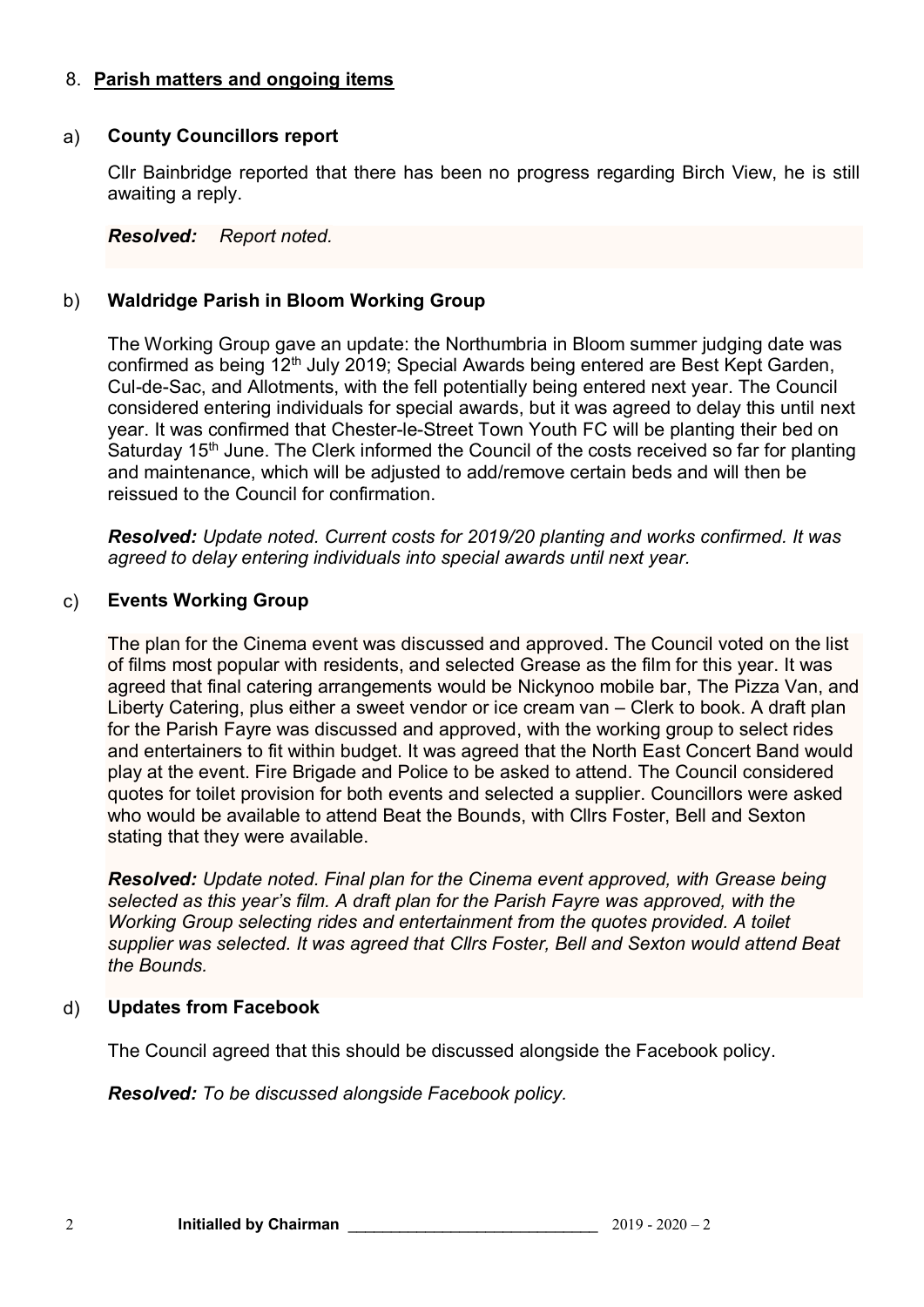# 8. **Parish matters and ongoing items**

## a) **County Councillors report**

Cllr Bainbridge reported that there has been no progress regarding Birch View, he is still awaiting a reply.

*Resolved: Report noted.* 

# b) **Waldridge Parish in Bloom Working Group**

The Working Group gave an update: the Northumbria in Bloom summer judging date was confirmed as being 12<sup>th</sup> July 2019; Special Awards being entered are Best Kept Garden, Cul-de-Sac, and Allotments, with the fell potentially being entered next year. The Council considered entering individuals for special awards, but it was agreed to delay this until next year. It was confirmed that Chester-le-Street Town Youth FC will be planting their bed on Saturday 15<sup>th</sup> June. The Clerk informed the Council of the costs received so far for planting and maintenance, which will be adjusted to add/remove certain beds and will then be reissued to the Council for confirmation.

*Resolved: Update noted. Current costs for 2019/20 planting and works confirmed. It was agreed to delay entering individuals into special awards until next year.*

## c) **Events Working Group**

The plan for the Cinema event was discussed and approved. The Council voted on the list of films most popular with residents, and selected Grease as the film for this year. It was agreed that final catering arrangements would be Nickynoo mobile bar, The Pizza Van, and Liberty Catering, plus either a sweet vendor or ice cream van – Clerk to book. A draft plan for the Parish Fayre was discussed and approved, with the working group to select rides and entertainers to fit within budget. It was agreed that the North East Concert Band would play at the event. Fire Brigade and Police to be asked to attend. The Council considered quotes for toilet provision for both events and selected a supplier. Councillors were asked who would be available to attend Beat the Bounds, with Cllrs Foster, Bell and Sexton stating that they were available.

*Resolved: Update noted. Final plan for the Cinema event approved, with Grease being selected as this year's film. A draft plan for the Parish Fayre was approved, with the Working Group selecting rides and entertainment from the quotes provided. A toilet supplier was selected. It was agreed that Cllrs Foster, Bell and Sexton would attend Beat the Bounds.*

# d) **Updates from Facebook**

The Council agreed that this should be discussed alongside the Facebook policy.

*Resolved: To be discussed alongside Facebook policy.*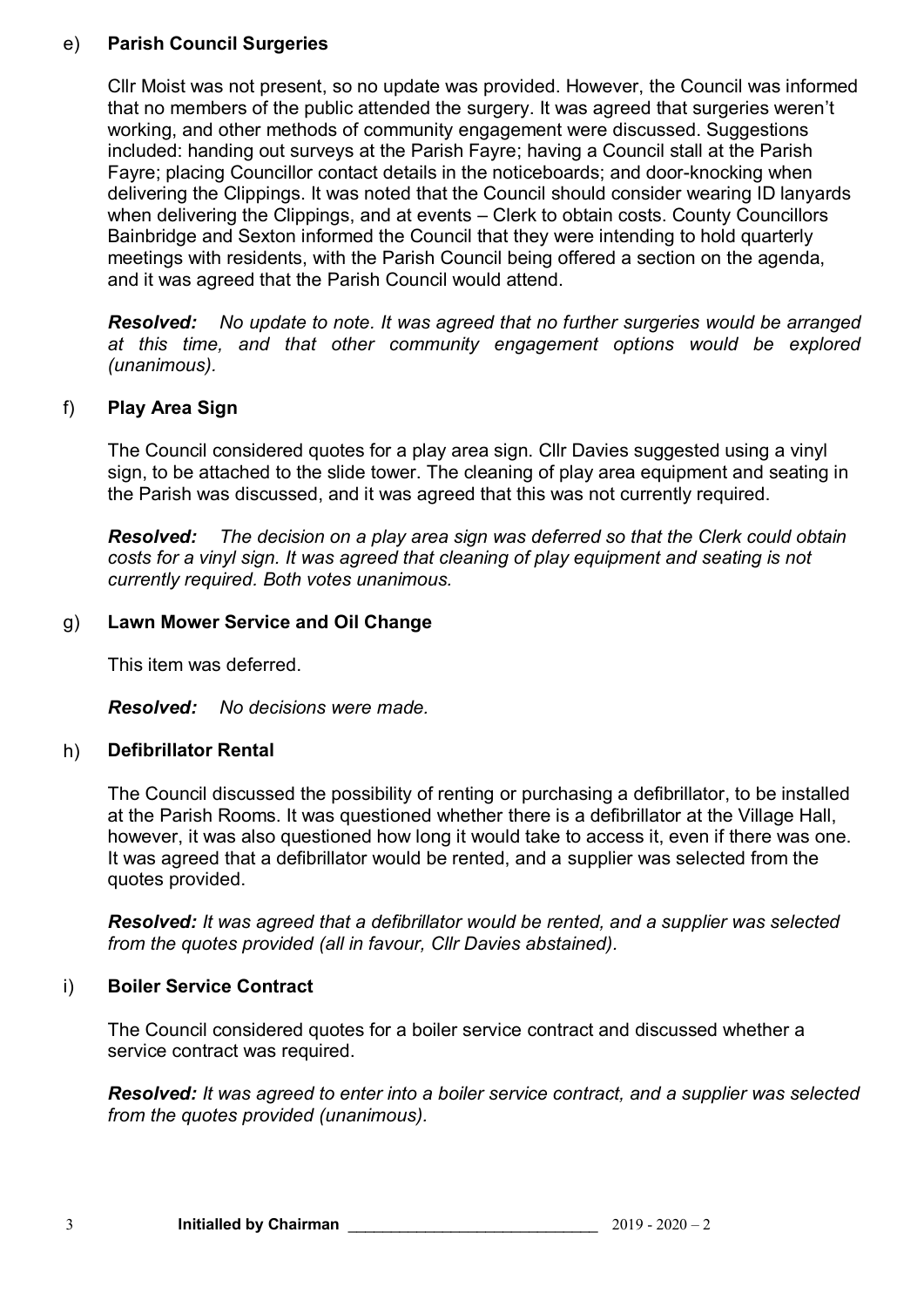## e) **Parish Council Surgeries**

Cllr Moist was not present, so no update was provided. However, the Council was informed that no members of the public attended the surgery. It was agreed that surgeries weren't working, and other methods of community engagement were discussed. Suggestions included: handing out surveys at the Parish Fayre; having a Council stall at the Parish Fayre; placing Councillor contact details in the noticeboards; and door-knocking when delivering the Clippings. It was noted that the Council should consider wearing ID lanyards when delivering the Clippings, and at events – Clerk to obtain costs. County Councillors Bainbridge and Sexton informed the Council that they were intending to hold quarterly meetings with residents, with the Parish Council being offered a section on the agenda, and it was agreed that the Parish Council would attend.

*Resolved: No update to note. It was agreed that no further surgeries would be arranged at this time, and that other community engagement options would be explored (unanimous).*

# f) **Play Area Sign**

The Council considered quotes for a play area sign. Cllr Davies suggested using a vinyl sign, to be attached to the slide tower. The cleaning of play area equipment and seating in the Parish was discussed, and it was agreed that this was not currently required.

*Resolved: The decision on a play area sign was deferred so that the Clerk could obtain costs for a vinyl sign. It was agreed that cleaning of play equipment and seating is not currently required. Both votes unanimous.*

#### g) **Lawn Mower Service and Oil Change**

This item was deferred.

*Resolved: No decisions were made.*

# h) **Defibrillator Rental**

The Council discussed the possibility of renting or purchasing a defibrillator, to be installed at the Parish Rooms. It was questioned whether there is a defibrillator at the Village Hall, however, it was also questioned how long it would take to access it, even if there was one. It was agreed that a defibrillator would be rented, and a supplier was selected from the quotes provided.

*Resolved: It was agreed that a defibrillator would be rented, and a supplier was selected from the quotes provided (all in favour, Cllr Davies abstained).* 

#### i) **Boiler Service Contract**

The Council considered quotes for a boiler service contract and discussed whether a service contract was required.

*Resolved: It was agreed to enter into a boiler service contract, and a supplier was selected from the quotes provided (unanimous).*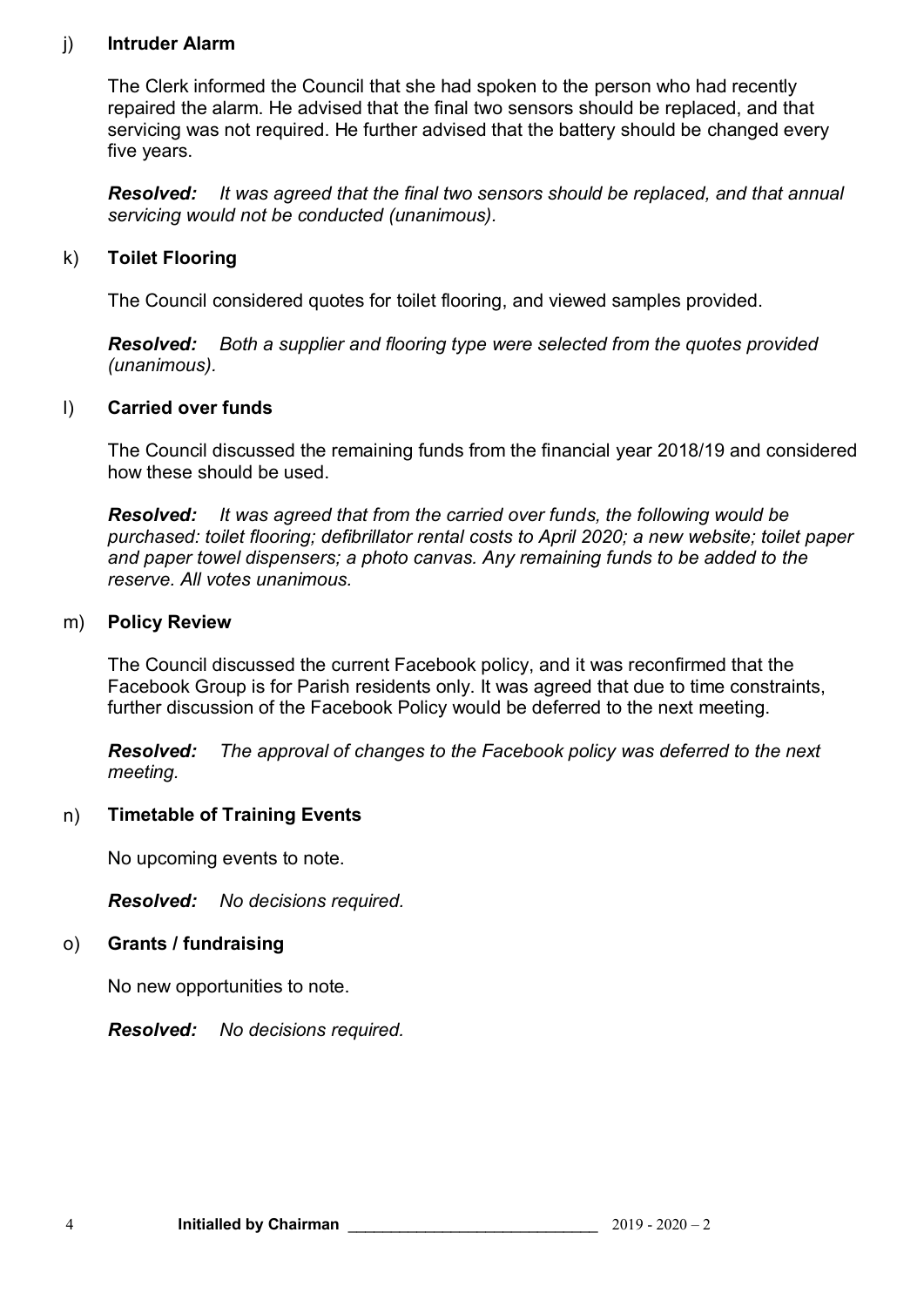#### j) **Intruder Alarm**

The Clerk informed the Council that she had spoken to the person who had recently repaired the alarm. He advised that the final two sensors should be replaced, and that servicing was not required. He further advised that the battery should be changed every five years.

*Resolved: It was agreed that the final two sensors should be replaced, and that annual servicing would not be conducted (unanimous).*

# k) **Toilet Flooring**

The Council considered quotes for toilet flooring, and viewed samples provided.

*Resolved: Both a supplier and flooring type were selected from the quotes provided (unanimous).*

## l) **Carried over funds**

The Council discussed the remaining funds from the financial year 2018/19 and considered how these should be used.

*Resolved: It was agreed that from the carried over funds, the following would be purchased: toilet flooring; defibrillator rental costs to April 2020; a new website; toilet paper and paper towel dispensers; a photo canvas. Any remaining funds to be added to the reserve. All votes unanimous.*

#### m) **Policy Review**

The Council discussed the current Facebook policy, and it was reconfirmed that the Facebook Group is for Parish residents only. It was agreed that due to time constraints, further discussion of the Facebook Policy would be deferred to the next meeting.

*Resolved: The approval of changes to the Facebook policy was deferred to the next meeting.*

#### n) **Timetable of Training Events**

No upcoming events to note.

*Resolved: No decisions required.*

#### o) **Grants / fundraising**

No new opportunities to note.

*Resolved: No decisions required.*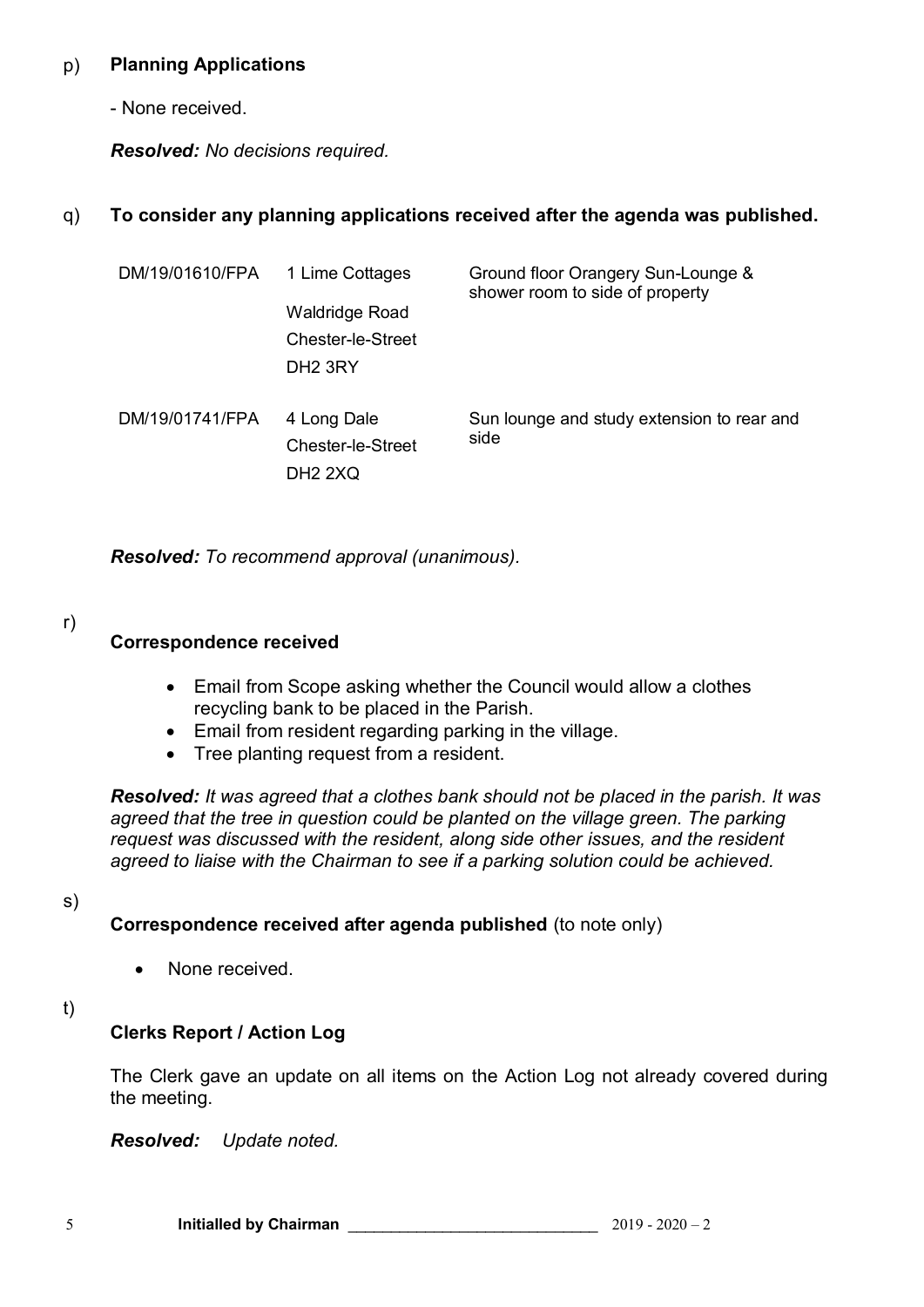#### p) **Planning Applications**

- None received.

*Resolved: No decisions required.*

#### q) **To consider any planning applications received after the agenda was published.**

| DM/19/01610/FPA | 1 Lime Cottages<br>Waldridge Road<br>Chester-le-Street<br>DH <sub>2</sub> 3RY | Ground floor Orangery Sun-Lounge &<br>shower room to side of property |
|-----------------|-------------------------------------------------------------------------------|-----------------------------------------------------------------------|
| DM/19/01741/FPA | 4 Long Dale<br>Chester-le-Street<br>DH <sub>2</sub> 2XQ                       | Sun lounge and study extension to rear and<br>side                    |

*Resolved: To recommend approval (unanimous).*

r)

# **Correspondence received**

- Email from Scope asking whether the Council would allow a clothes recycling bank to be placed in the Parish.
- Email from resident regarding parking in the village.
- Tree planting request from a resident.

*Resolved: It was agreed that a clothes bank should not be placed in the parish. It was*  agreed that the tree in question could be planted on the village green. The parking *request was discussed with the resident, along side other issues, and the resident agreed to liaise with the Chairman to see if a parking solution could be achieved.*

#### s)

**Correspondence received after agenda published** (to note only)

• None received.

t)

# **Clerks Report / Action Log**

The Clerk gave an update on all items on the Action Log not already covered during the meeting.

*Resolved: Update noted.*